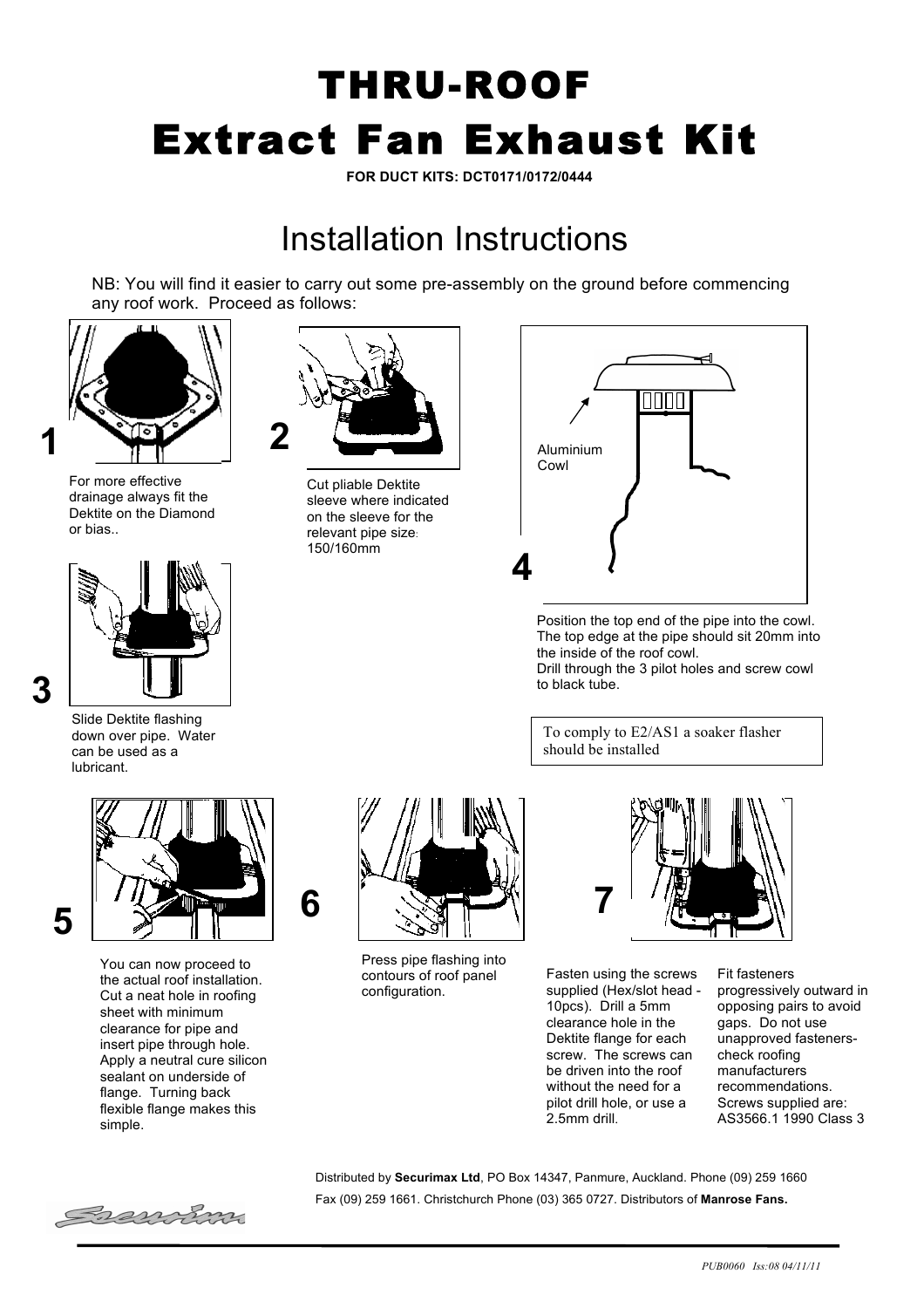## THRU-ROOF Extract Fan Exhaust Kit

**FOR DUCT KITS: DCT0171/0172/0444**

## Installation Instructions

NB: You will find it easier to carry out some pre-assembly on the ground before commencing any roof work. Proceed as follows:



For more effective drainage always fit the Dektite on the Diamond or bias..



Slide Dektite flashing down over pipe. Water can be used as a lubricant.

**3**



You can now proceed to the actual roof installation. Cut a neat hole in roofing sheet with minimum clearance for pipe and insert pipe through hole. Apply a neutral cure silicon sealant on underside of flange. Turning back flexible flange makes this simple.



Cut pliable Dektite sleeve where indicated on the sleeve for the relevant pipe size: 150/160mm



Position the top end of the pipe into the cowl. The top edge at the pipe should sit 20mm into the inside of the roof cowl. Drill through the 3 pilot holes and screw cowl to black tube.

To comply to E2/AS1 a soaker flasher should be installed



Press pipe flashing into contours of roof panel configuration.



Fasten using the screws supplied (Hex/slot head - 10pcs). Drill a 5mm clearance hole in the Dektite flange for each screw. The screws can be driven into the roof without the need for a pilot drill hole, or use a 2.5mm drill.

Fit fasteners progressively outward in opposing pairs to avoid gaps. Do not use unapproved fastenerscheck roofing manufacturers recommendations. Screws supplied are: AS3566.1 1990 Class 3



Distributed by **Securimax Ltd**, PO Box 14347, Panmure, Auckland. Phone (09) 259 1660 Fax (09) 259 1661. Christchurch Phone (03) 365 0727. Distributors of **Manrose Fans.**